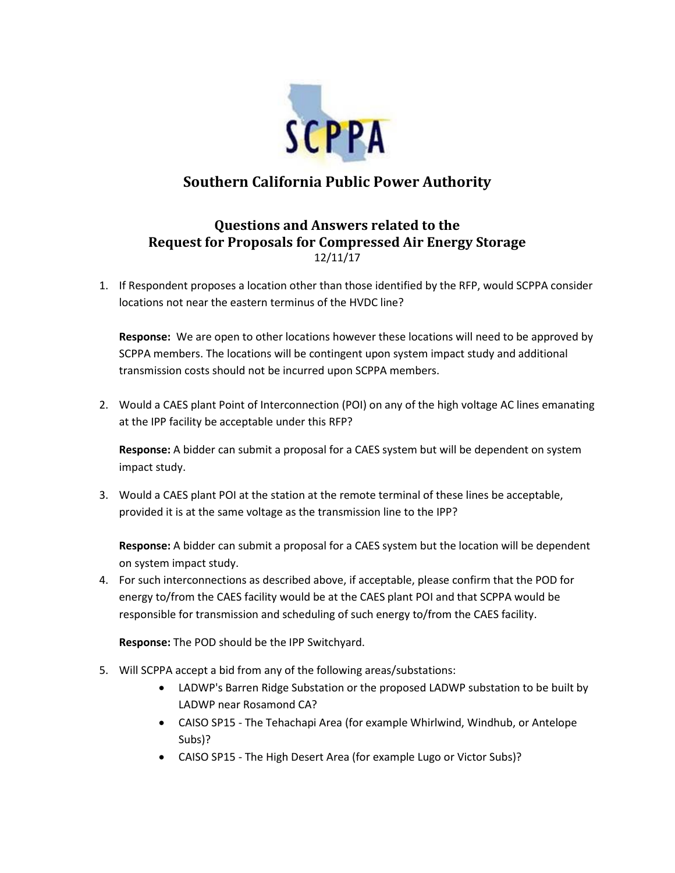

## **Southern California Public Power Authority**

## **Questions and Answers related to the Request for Proposals for Compressed Air Energy Storage** 12/11/17

1. If Respondent proposes a location other than those identified by the RFP, would SCPPA consider locations not near the eastern terminus of the HVDC line?

**Response:** We are open to other locations however these locations will need to be approved by SCPPA members. The locations will be contingent upon system impact study and additional transmission costs should not be incurred upon SCPPA members.

2. Would a CAES plant Point of Interconnection (POI) on any of the high voltage AC lines emanating at the IPP facility be acceptable under this RFP?

**Response:** A bidder can submit a proposal for a CAES system but will be dependent on system impact study.

3. Would a CAES plant POI at the station at the remote terminal of these lines be acceptable, provided it is at the same voltage as the transmission line to the IPP?

**Response:** A bidder can submit a proposal for a CAES system but the location will be dependent on system impact study.

4. For such interconnections as described above, if acceptable, please confirm that the POD for energy to/from the CAES facility would be at the CAES plant POI and that SCPPA would be responsible for transmission and scheduling of such energy to/from the CAES facility.

**Response:** The POD should be the IPP Switchyard.

- 5. Will SCPPA accept a bid from any of the following areas/substations:
	- LADWP's Barren Ridge Substation or the proposed LADWP substation to be built by LADWP near Rosamond CA?
	- CAISO SP15 The Tehachapi Area (for example Whirlwind, Windhub, or Antelope Subs)?
	- CAISO SP15 The High Desert Area (for example Lugo or Victor Subs)?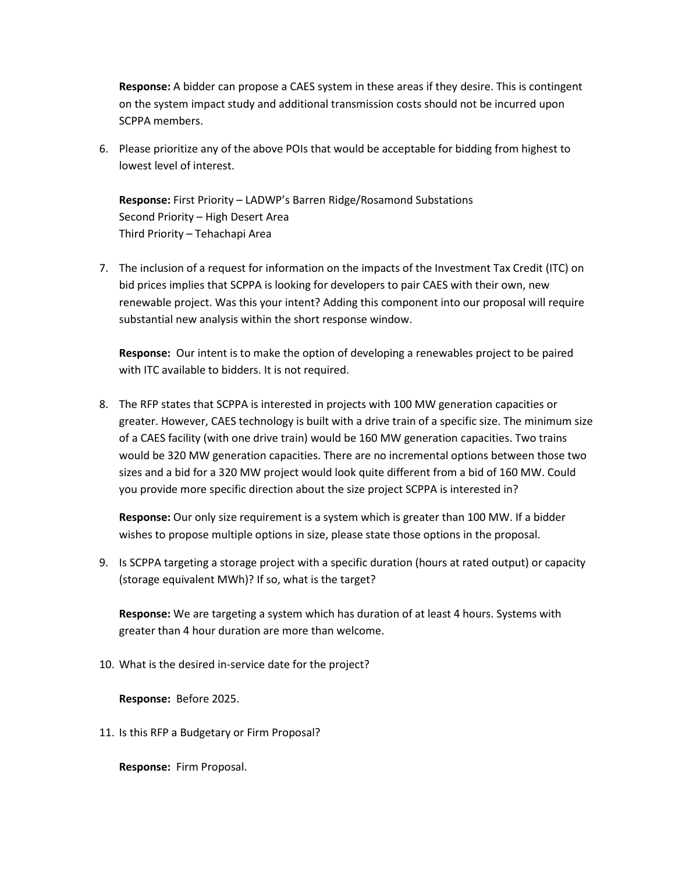**Response:** A bidder can propose a CAES system in these areas if they desire. This is contingent on the system impact study and additional transmission costs should not be incurred upon SCPPA members.

6. Please prioritize any of the above POIs that would be acceptable for bidding from highest to lowest level of interest.

**Response:** First Priority – LADWP's Barren Ridge/Rosamond Substations Second Priority – High Desert Area Third Priority – Tehachapi Area

7. The inclusion of a request for information on the impacts of the Investment Tax Credit (ITC) on bid prices implies that SCPPA is looking for developers to pair CAES with their own, new renewable project. Was this your intent? Adding this component into our proposal will require substantial new analysis within the short response window.

**Response:** Our intent is to make the option of developing a renewables project to be paired with ITC available to bidders. It is not required.

8. The RFP states that SCPPA is interested in projects with 100 MW generation capacities or greater. However, CAES technology is built with a drive train of a specific size. The minimum size of a CAES facility (with one drive train) would be 160 MW generation capacities. Two trains would be 320 MW generation capacities. There are no incremental options between those two sizes and a bid for a 320 MW project would look quite different from a bid of 160 MW. Could you provide more specific direction about the size project SCPPA is interested in?

**Response:** Our only size requirement is a system which is greater than 100 MW. If a bidder wishes to propose multiple options in size, please state those options in the proposal.

9. Is SCPPA targeting a storage project with a specific duration (hours at rated output) or capacity (storage equivalent MWh)? If so, what is the target?

**Response:** We are targeting a system which has duration of at least 4 hours. Systems with greater than 4 hour duration are more than welcome.

10. What is the desired in-service date for the project?

**Response:** Before 2025.

11. Is this RFP a Budgetary or Firm Proposal?

**Response:** Firm Proposal.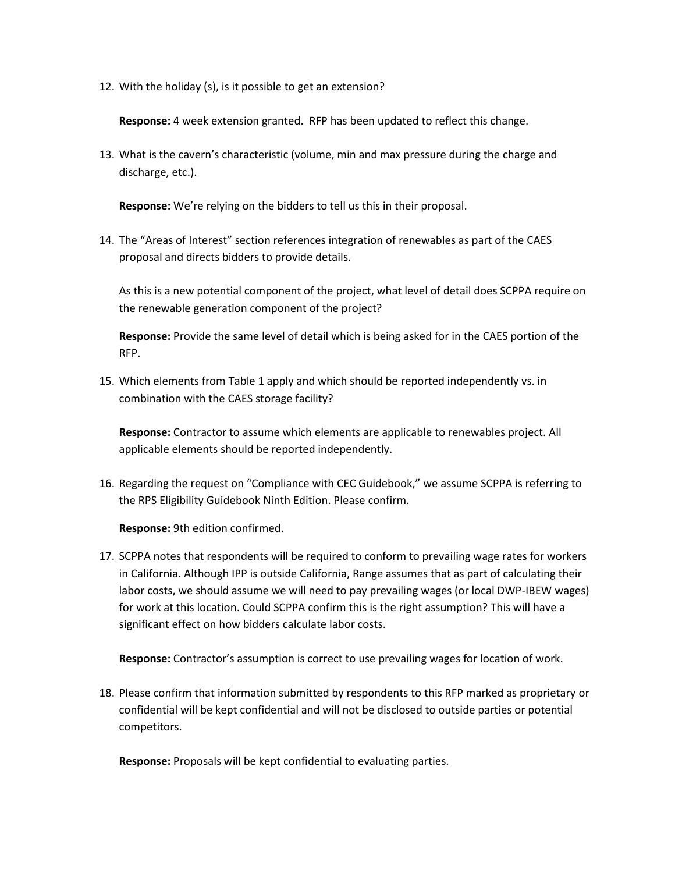12. With the holiday (s), is it possible to get an extension?

**Response:** 4 week extension granted. RFP has been updated to reflect this change.

13. What is the cavern's characteristic (volume, min and max pressure during the charge and discharge, etc.).

**Response:** We're relying on the bidders to tell us this in their proposal.

14. The "Areas of Interest" section references integration of renewables as part of the CAES proposal and directs bidders to provide details.

As this is a new potential component of the project, what level of detail does SCPPA require on the renewable generation component of the project?

**Response:** Provide the same level of detail which is being asked for in the CAES portion of the RFP.

15. Which elements from Table 1 apply and which should be reported independently vs. in combination with the CAES storage facility?

**Response:** Contractor to assume which elements are applicable to renewables project. All applicable elements should be reported independently.

16. Regarding the request on "Compliance with CEC Guidebook," we assume SCPPA is referring to the RPS Eligibility Guidebook Ninth Edition. Please confirm.

**Response:** 9th edition confirmed.

17. SCPPA notes that respondents will be required to conform to prevailing wage rates for workers in California. Although IPP is outside California, Range assumes that as part of calculating their labor costs, we should assume we will need to pay prevailing wages (or local DWP-IBEW wages) for work at this location. Could SCPPA confirm this is the right assumption? This will have a significant effect on how bidders calculate labor costs.

**Response:** Contractor's assumption is correct to use prevailing wages for location of work.

18. Please confirm that information submitted by respondents to this RFP marked as proprietary or confidential will be kept confidential and will not be disclosed to outside parties or potential competitors.

**Response:** Proposals will be kept confidential to evaluating parties.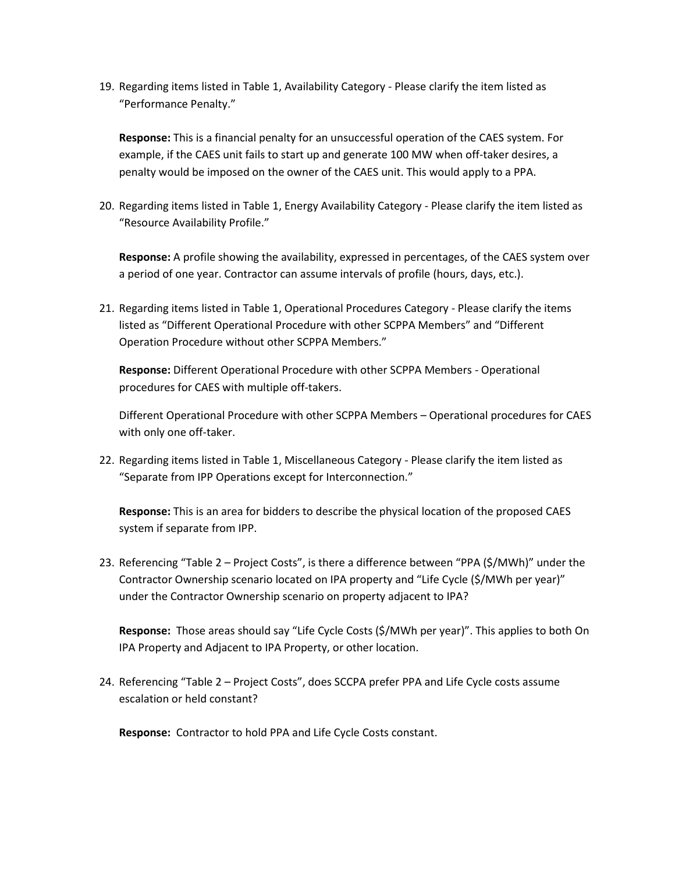19. Regarding items listed in Table 1, Availability Category - Please clarify the item listed as "Performance Penalty."

**Response:** This is a financial penalty for an unsuccessful operation of the CAES system. For example, if the CAES unit fails to start up and generate 100 MW when off-taker desires, a penalty would be imposed on the owner of the CAES unit. This would apply to a PPA.

20. Regarding items listed in Table 1, Energy Availability Category - Please clarify the item listed as "Resource Availability Profile."

**Response:** A profile showing the availability, expressed in percentages, of the CAES system over a period of one year. Contractor can assume intervals of profile (hours, days, etc.).

21. Regarding items listed in Table 1, Operational Procedures Category - Please clarify the items listed as "Different Operational Procedure with other SCPPA Members" and "Different Operation Procedure without other SCPPA Members."

**Response:** Different Operational Procedure with other SCPPA Members - Operational procedures for CAES with multiple off-takers.

Different Operational Procedure with other SCPPA Members – Operational procedures for CAES with only one off-taker.

22. Regarding items listed in Table 1, Miscellaneous Category - Please clarify the item listed as "Separate from IPP Operations except for Interconnection."

**Response:** This is an area for bidders to describe the physical location of the proposed CAES system if separate from IPP.

23. Referencing "Table 2 – Project Costs", is there a difference between "PPA (\$/MWh)" under the Contractor Ownership scenario located on IPA property and "Life Cycle (\$/MWh per year)" under the Contractor Ownership scenario on property adjacent to IPA?

**Response:** Those areas should say "Life Cycle Costs (\$/MWh per year)". This applies to both On IPA Property and Adjacent to IPA Property, or other location.

24. Referencing "Table 2 – Project Costs", does SCCPA prefer PPA and Life Cycle costs assume escalation or held constant?

**Response:** Contractor to hold PPA and Life Cycle Costs constant.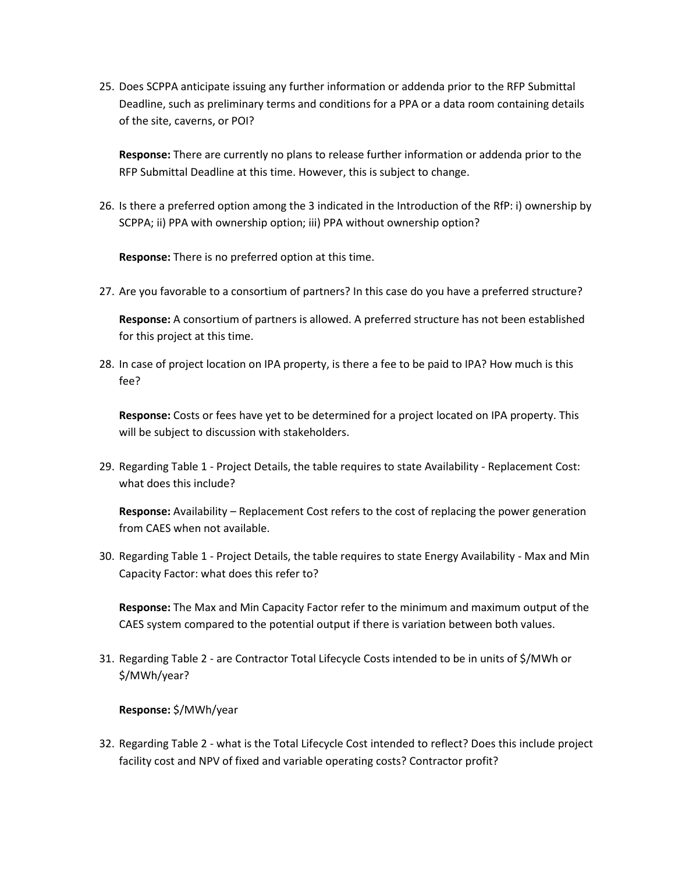25. Does SCPPA anticipate issuing any further information or addenda prior to the RFP Submittal Deadline, such as preliminary terms and conditions for a PPA or a data room containing details of the site, caverns, or POI?

**Response:** There are currently no plans to release further information or addenda prior to the RFP Submittal Deadline at this time. However, this is subject to change.

26. Is there a preferred option among the 3 indicated in the Introduction of the RfP: i) ownership by SCPPA; ii) PPA with ownership option; iii) PPA without ownership option?

**Response:** There is no preferred option at this time.

27. Are you favorable to a consortium of partners? In this case do you have a preferred structure?

**Response:** A consortium of partners is allowed. A preferred structure has not been established for this project at this time.

28. In case of project location on IPA property, is there a fee to be paid to IPA? How much is this fee?

**Response:** Costs or fees have yet to be determined for a project located on IPA property. This will be subject to discussion with stakeholders.

29. Regarding Table 1 - Project Details, the table requires to state Availability - Replacement Cost: what does this include?

**Response:** Availability – Replacement Cost refers to the cost of replacing the power generation from CAES when not available.

30. Regarding Table 1 - Project Details, the table requires to state Energy Availability - Max and Min Capacity Factor: what does this refer to?

**Response:** The Max and Min Capacity Factor refer to the minimum and maximum output of the CAES system compared to the potential output if there is variation between both values.

31. Regarding Table 2 - are Contractor Total Lifecycle Costs intended to be in units of \$/MWh or \$/MWh/year?

**Response:** \$/MWh/year

32. Regarding Table 2 - what is the Total Lifecycle Cost intended to reflect? Does this include project facility cost and NPV of fixed and variable operating costs? Contractor profit?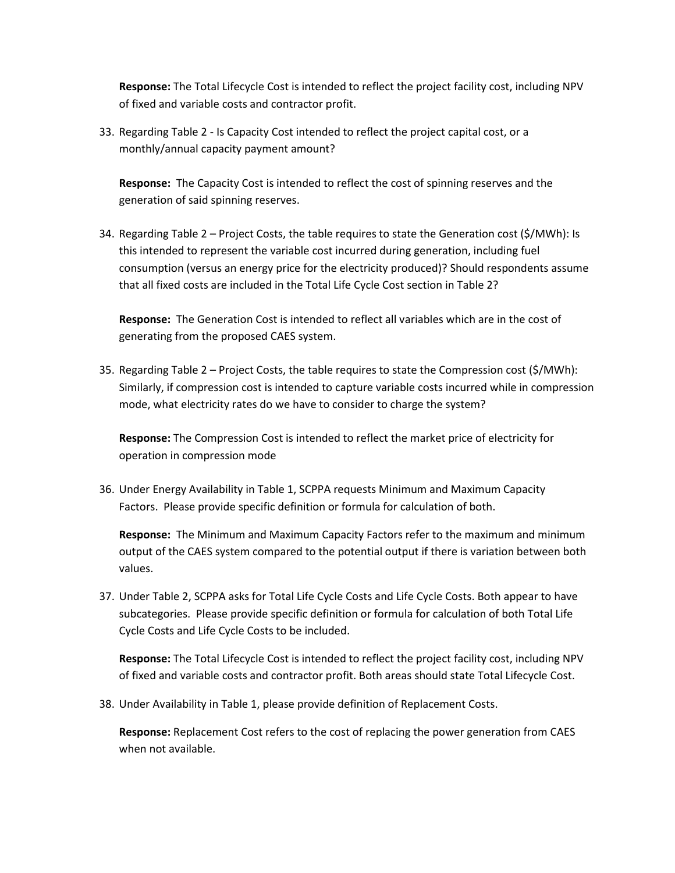**Response:** The Total Lifecycle Cost is intended to reflect the project facility cost, including NPV of fixed and variable costs and contractor profit.

33. Regarding Table 2 - Is Capacity Cost intended to reflect the project capital cost, or a monthly/annual capacity payment amount?

**Response:** The Capacity Cost is intended to reflect the cost of spinning reserves and the generation of said spinning reserves.

34. Regarding Table 2 – Project Costs, the table requires to state the Generation cost (\$/MWh): Is this intended to represent the variable cost incurred during generation, including fuel consumption (versus an energy price for the electricity produced)? Should respondents assume that all fixed costs are included in the Total Life Cycle Cost section in Table 2?

**Response:** The Generation Cost is intended to reflect all variables which are in the cost of generating from the proposed CAES system.

35. Regarding Table 2 – Project Costs, the table requires to state the Compression cost (\$/MWh): Similarly, if compression cost is intended to capture variable costs incurred while in compression mode, what electricity rates do we have to consider to charge the system?

**Response:** The Compression Cost is intended to reflect the market price of electricity for operation in compression mode

36. Under Energy Availability in Table 1, SCPPA requests Minimum and Maximum Capacity Factors. Please provide specific definition or formula for calculation of both.

**Response:** The Minimum and Maximum Capacity Factors refer to the maximum and minimum output of the CAES system compared to the potential output if there is variation between both values.

37. Under Table 2, SCPPA asks for Total Life Cycle Costs and Life Cycle Costs. Both appear to have subcategories. Please provide specific definition or formula for calculation of both Total Life Cycle Costs and Life Cycle Costs to be included.

**Response:** The Total Lifecycle Cost is intended to reflect the project facility cost, including NPV of fixed and variable costs and contractor profit. Both areas should state Total Lifecycle Cost.

38. Under Availability in Table 1, please provide definition of Replacement Costs.

**Response:** Replacement Cost refers to the cost of replacing the power generation from CAES when not available.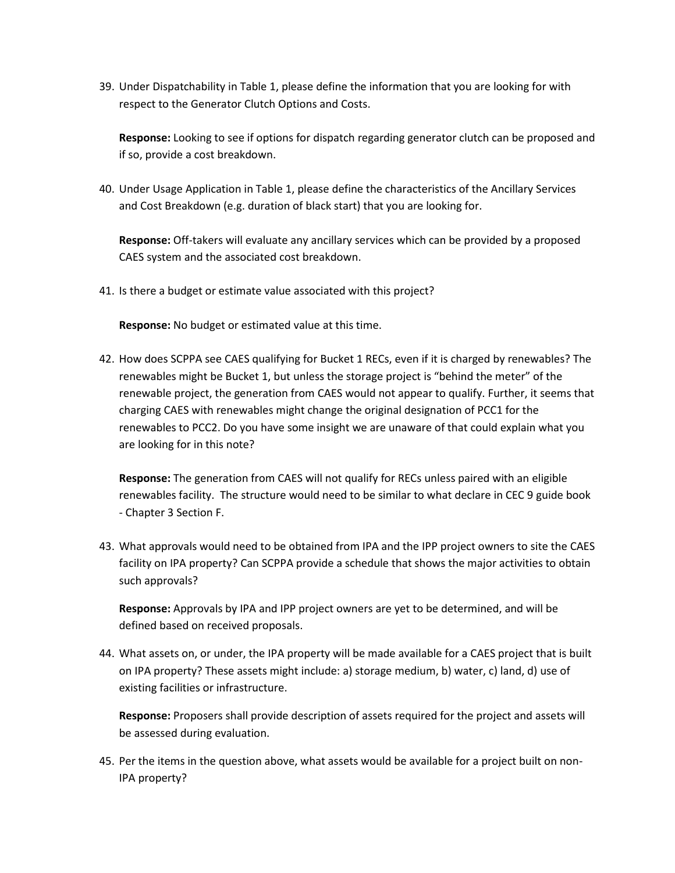39. Under Dispatchability in Table 1, please define the information that you are looking for with respect to the Generator Clutch Options and Costs.

**Response:** Looking to see if options for dispatch regarding generator clutch can be proposed and if so, provide a cost breakdown.

40. Under Usage Application in Table 1, please define the characteristics of the Ancillary Services and Cost Breakdown (e.g. duration of black start) that you are looking for.

**Response:** Off-takers will evaluate any ancillary services which can be provided by a proposed CAES system and the associated cost breakdown.

41. Is there a budget or estimate value associated with this project?

**Response:** No budget or estimated value at this time.

42. How does SCPPA see CAES qualifying for Bucket 1 RECs, even if it is charged by renewables? The renewables might be Bucket 1, but unless the storage project is "behind the meter" of the renewable project, the generation from CAES would not appear to qualify. Further, it seems that charging CAES with renewables might change the original designation of PCC1 for the renewables to PCC2. Do you have some insight we are unaware of that could explain what you are looking for in this note?

**Response:** The generation from CAES will not qualify for RECs unless paired with an eligible renewables facility. The structure would need to be similar to what declare in CEC 9 guide book - Chapter 3 Section F.

43. What approvals would need to be obtained from IPA and the IPP project owners to site the CAES facility on IPA property? Can SCPPA provide a schedule that shows the major activities to obtain such approvals?

**Response:** Approvals by IPA and IPP project owners are yet to be determined, and will be defined based on received proposals.

44. What assets on, or under, the IPA property will be made available for a CAES project that is built on IPA property? These assets might include: a) storage medium, b) water, c) land, d) use of existing facilities or infrastructure.

**Response:** Proposers shall provide description of assets required for the project and assets will be assessed during evaluation.

45. Per the items in the question above, what assets would be available for a project built on non-IPA property?